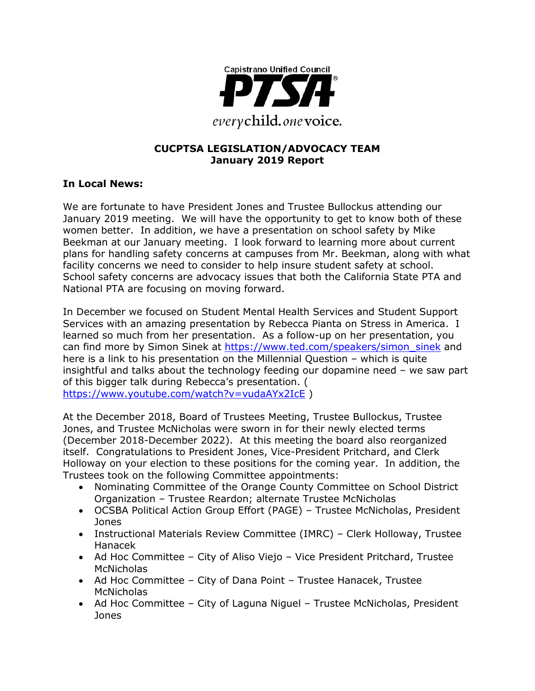

#### **CUCPTSA LEGISLATION/ADVOCACY TEAM January 2019 Report**

#### **In Local News:**

We are fortunate to have President Jones and Trustee Bullockus attending our January 2019 meeting. We will have the opportunity to get to know both of these women better. In addition, we have a presentation on school safety by Mike Beekman at our January meeting. I look forward to learning more about current plans for handling safety concerns at campuses from Mr. Beekman, along with what facility concerns we need to consider to help insure student safety at school. School safety concerns are advocacy issues that both the California State PTA and National PTA are focusing on moving forward.

In December we focused on Student Mental Health Services and Student Support Services with an amazing presentation by Rebecca Pianta on Stress in America. I learned so much from her presentation. As a follow-up on her presentation, you can find more by Simon Sinek at [https://www.ted.com/speakers/simon\\_sinek](https://www.ted.com/speakers/simon_sinek) and here is a link to his presentation on the Millennial Question – which is quite insightful and talks about the technology feeding our dopamine need – we saw part of this bigger talk during Rebecca's presentation. ( <https://www.youtube.com/watch?v=vudaAYx2IcE> )

At the December 2018, Board of Trustees Meeting, Trustee Bullockus, Trustee Jones, and Trustee McNicholas were sworn in for their newly elected terms (December 2018-December 2022). At this meeting the board also reorganized itself. Congratulations to President Jones, Vice-President Pritchard, and Clerk Holloway on your election to these positions for the coming year. In addition, the Trustees took on the following Committee appointments:

- Nominating Committee of the Orange County Committee on School District Organization – Trustee Reardon; alternate Trustee McNicholas
- OCSBA Political Action Group Effort (PAGE) Trustee McNicholas, President Jones
- Instructional Materials Review Committee (IMRC) Clerk Holloway, Trustee Hanacek
- Ad Hoc Committee City of Aliso Viejo Vice President Pritchard, Trustee **McNicholas**
- Ad Hoc Committee City of Dana Point Trustee Hanacek, Trustee McNicholas
- Ad Hoc Committee City of Laguna Niguel Trustee McNicholas, President Jones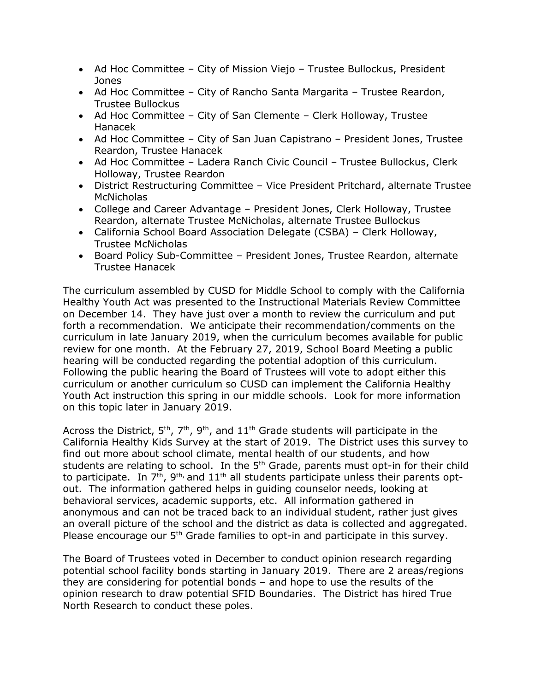- Ad Hoc Committee City of Mission Viejo Trustee Bullockus, President Jones
- Ad Hoc Committee City of Rancho Santa Margarita Trustee Reardon, Trustee Bullockus
- Ad Hoc Committee City of San Clemente Clerk Holloway, Trustee Hanacek
- Ad Hoc Committee City of San Juan Capistrano President Jones, Trustee Reardon, Trustee Hanacek
- Ad Hoc Committee Ladera Ranch Civic Council Trustee Bullockus, Clerk Holloway, Trustee Reardon
- District Restructuring Committee Vice President Pritchard, alternate Trustee **McNicholas**
- College and Career Advantage President Jones, Clerk Holloway, Trustee Reardon, alternate Trustee McNicholas, alternate Trustee Bullockus
- California School Board Association Delegate (CSBA) Clerk Holloway, Trustee McNicholas
- Board Policy Sub-Committee President Jones, Trustee Reardon, alternate Trustee Hanacek

The curriculum assembled by CUSD for Middle School to comply with the California Healthy Youth Act was presented to the Instructional Materials Review Committee on December 14. They have just over a month to review the curriculum and put forth a recommendation. We anticipate their recommendation/comments on the curriculum in late January 2019, when the curriculum becomes available for public review for one month. At the February 27, 2019, School Board Meeting a public hearing will be conducted regarding the potential adoption of this curriculum. Following the public hearing the Board of Trustees will vote to adopt either this curriculum or another curriculum so CUSD can implement the California Healthy Youth Act instruction this spring in our middle schools. Look for more information on this topic later in January 2019.

Across the District,  $5<sup>th</sup>$ ,  $7<sup>th</sup>$ ,  $9<sup>th</sup>$ , and  $11<sup>th</sup>$  Grade students will participate in the California Healthy Kids Survey at the start of 2019. The District uses this survey to find out more about school climate, mental health of our students, and how students are relating to school. In the  $5<sup>th</sup>$  Grade, parents must opt-in for their child to participate. In  $7<sup>th</sup>$ ,  $9<sup>th</sup>$ , and  $11<sup>th</sup>$  all students participate unless their parents optout. The information gathered helps in guiding counselor needs, looking at behavioral services, academic supports, etc. All information gathered in anonymous and can not be traced back to an individual student, rather just gives an overall picture of the school and the district as data is collected and aggregated. Please encourage our 5<sup>th</sup> Grade families to opt-in and participate in this survey.

The Board of Trustees voted in December to conduct opinion research regarding potential school facility bonds starting in January 2019. There are 2 areas/regions they are considering for potential bonds – and hope to use the results of the opinion research to draw potential SFID Boundaries. The District has hired True North Research to conduct these poles.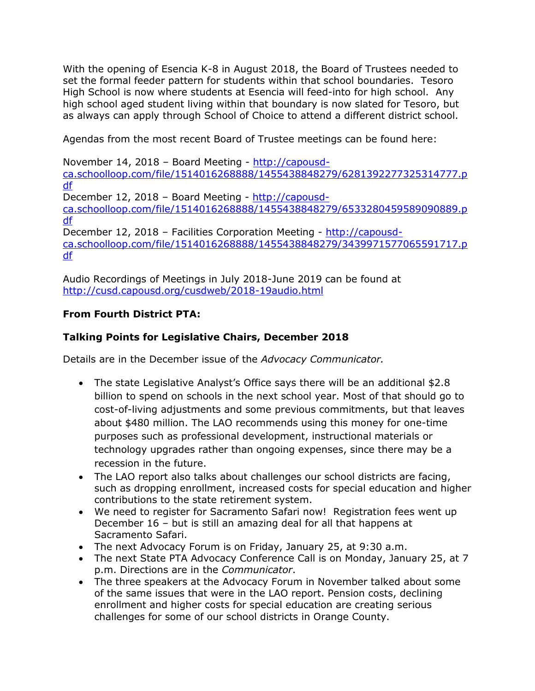With the opening of Esencia K-8 in August 2018, the Board of Trustees needed to set the formal feeder pattern for students within that school boundaries. Tesoro High School is now where students at Esencia will feed-into for high school. Any high school aged student living within that boundary is now slated for Tesoro, but as always can apply through School of Choice to attend a different district school.

Agendas from the most recent Board of Trustee meetings can be found here:

November 14, 2018 – Board Meeting - [http://capousd](http://capousd-ca.schoolloop.com/file/1514016268888/1455438848279/6281392277325314777.pdf)[ca.schoolloop.com/file/1514016268888/1455438848279/6281392277325314777.p](http://capousd-ca.schoolloop.com/file/1514016268888/1455438848279/6281392277325314777.pdf) [df](http://capousd-ca.schoolloop.com/file/1514016268888/1455438848279/6281392277325314777.pdf) December 12, 2018 – Board Meeting - [http://capousd](http://capousd-ca.schoolloop.com/file/1514016268888/1455438848279/6533280459589090889.pdf)[ca.schoolloop.com/file/1514016268888/1455438848279/6533280459589090889.p](http://capousd-ca.schoolloop.com/file/1514016268888/1455438848279/6533280459589090889.pdf) [df](http://capousd-ca.schoolloop.com/file/1514016268888/1455438848279/6533280459589090889.pdf) December 12, 2018 – Facilities Corporation Meeting - [http://capousd](http://capousd-ca.schoolloop.com/file/1514016268888/1455438848279/3439971577065591717.pdf)[ca.schoolloop.com/file/1514016268888/1455438848279/3439971577065591717.p](http://capousd-ca.schoolloop.com/file/1514016268888/1455438848279/3439971577065591717.pdf) [df](http://capousd-ca.schoolloop.com/file/1514016268888/1455438848279/3439971577065591717.pdf)

Audio Recordings of Meetings in July 2018-June 2019 can be found at <http://cusd.capousd.org/cusdweb/2018-19audio.html>

## **From Fourth District PTA:**

## **Talking Points for Legislative Chairs, December 2018**

Details are in the December issue of the *Advocacy Communicator.*

- The state Legislative Analyst's Office says there will be an additional \$2.8 billion to spend on schools in the next school year. Most of that should go to cost-of-living adjustments and some previous commitments, but that leaves about \$480 million. The LAO recommends using this money for one-time purposes such as professional development, instructional materials or technology upgrades rather than ongoing expenses, since there may be a recession in the future.
- The LAO report also talks about challenges our school districts are facing, such as dropping enrollment, increased costs for special education and higher contributions to the state retirement system.
- We need to register for Sacramento Safari now! Registration fees went up December 16 – but is still an amazing deal for all that happens at Sacramento Safari.
- The next Advocacy Forum is on Friday, January 25, at 9:30 a.m.
- The next State PTA Advocacy Conference Call is on Monday, January 25, at 7 p.m. Directions are in the *Communicator*.
- The three speakers at the Advocacy Forum in November talked about some of the same issues that were in the LAO report. Pension costs, declining enrollment and higher costs for special education are creating serious challenges for some of our school districts in Orange County.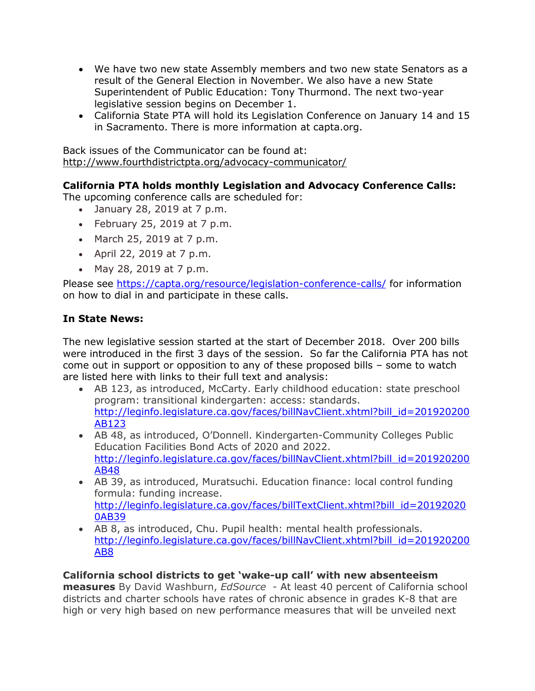- We have two new state Assembly members and two new state Senators as a result of the General Election in November. We also have a new State Superintendent of Public Education: Tony Thurmond. The next two-year legislative session begins on December 1.
- California State PTA will hold its Legislation Conference on January 14 and 15 in Sacramento. There is more information at capta.org.

Back issues of the Communicator can be found at: <http://www.fourthdistrictpta.org/advocacy-communicator/>

## **California PTA holds monthly Legislation and Advocacy Conference Calls:**

The upcoming conference calls are scheduled for:

- January 28, 2019 at 7 p.m.
- February 25, 2019 at 7 p.m.
- March 25, 2019 at 7 p.m.
- April 22, 2019 at 7 p.m.
- May 28, 2019 at 7 p.m.

Please see<https://capta.org/resource/legislation-conference-calls/> for information on how to dial in and participate in these calls.

#### **In State News:**

The new legislative session started at the start of December 2018. Over 200 bills were introduced in the first 3 days of the session. So far the California PTA has not come out in support or opposition to any of these proposed bills – some to watch are listed here with links to their full text and analysis:

- AB 123, as introduced, McCarty. Early childhood education: state preschool program: transitional kindergarten: access: standards. [http://leginfo.legislature.ca.gov/faces/billNavClient.xhtml?bill\\_id=201920200](http://leginfo.legislature.ca.gov/faces/billNavClient.xhtml?bill_id=201920200AB123) [AB123](http://leginfo.legislature.ca.gov/faces/billNavClient.xhtml?bill_id=201920200AB123)
- AB 48, as introduced, O'Donnell. Kindergarten-Community Colleges Public Education Facilities Bond Acts of 2020 and 2022. [http://leginfo.legislature.ca.gov/faces/billNavClient.xhtml?bill\\_id=201920200](http://leginfo.legislature.ca.gov/faces/billNavClient.xhtml?bill_id=201920200AB48) [AB48](http://leginfo.legislature.ca.gov/faces/billNavClient.xhtml?bill_id=201920200AB48)
- AB 39, as introduced, Muratsuchi. Education finance: local control funding formula: funding increase. [http://leginfo.legislature.ca.gov/faces/billTextClient.xhtml?bill\\_id=20192020](http://leginfo.legislature.ca.gov/faces/billTextClient.xhtml?bill_id=201920200AB39) [0AB39](http://leginfo.legislature.ca.gov/faces/billTextClient.xhtml?bill_id=201920200AB39)
- AB 8, as introduced, Chu. Pupil health: mental health professionals. [http://leginfo.legislature.ca.gov/faces/billNavClient.xhtml?bill\\_id=201920200](http://leginfo.legislature.ca.gov/faces/billNavClient.xhtml?bill_id=201920200AB8) [AB8](http://leginfo.legislature.ca.gov/faces/billNavClient.xhtml?bill_id=201920200AB8)

#### **California school districts to get 'wake-up call' with new absenteeism**

**measures** By David Washburn, *EdSource* - At least 40 percent of California school districts and charter schools have rates of chronic absence in grades K-8 that are high or very high based on new performance measures that will be unveiled next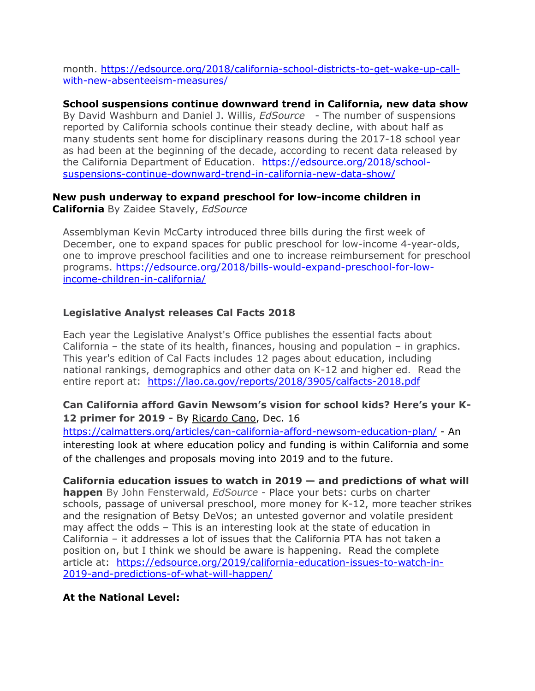month. [https://edsource.org/2018/california-school-districts-to-get-wake-up-call](https://edsource.org/2018/california-school-districts-to-get-wake-up-call-with-new-absenteeism-measures/)[with-new-absenteeism-measures/](https://edsource.org/2018/california-school-districts-to-get-wake-up-call-with-new-absenteeism-measures/)

**School suspensions continue downward trend in California, new data show** By David Washburn and Daniel J. Willis, *EdSource* - The number of suspensions reported by California schools continue their steady decline, with about half as many students sent home for disciplinary reasons during the 2017-18 school year as had been at the beginning of the decade, according to recent data released by the California Department of Education. [https://edsource.org/2018/school](https://edsource.org/2018/school-suspensions-continue-downward-trend-in-california-new-data-show/)[suspensions-continue-downward-trend-in-california-new-data-show/](https://edsource.org/2018/school-suspensions-continue-downward-trend-in-california-new-data-show/)

#### **New push underway to expand preschool for low-income children in California** By Zaidee Stavely, *EdSource*

Assemblyman Kevin McCarty introduced three bills during the first week of December, one to expand spaces for public preschool for low-income 4-year-olds, one to improve preschool facilities and one to increase reimbursement for preschool programs. [https://edsource.org/2018/bills-would-expand-preschool-for-low](https://edsource.org/2018/bills-would-expand-preschool-for-low-income-children-in-california/)[income-children-in-california/](https://edsource.org/2018/bills-would-expand-preschool-for-low-income-children-in-california/)

## **Legislative Analyst releases Cal Facts 2018**

Each year the Legislative Analyst's Office publishes the essential facts about California – the state of its health, finances, housing and population – in graphics. This year's edition of Cal Facts includes 12 pages about education, including national rankings, demographics and other data on K-12 and higher ed. Read the entire report at: <https://lao.ca.gov/reports/2018/3905/calfacts-2018.pdf>

## **Can California afford Gavin Newsom's vision for school kids? Here's your K-12 primer for 2019 -** By [Ricardo Cano,](http://r20.rs6.net/tn.jsp?f=001ZvgGQokBff3bMKjFMoIYooU9tq0quscFdw6jtkVy4h1A7VKvURxG9h4CVswNWRUQGoYCyL0YKotWAeFYmDFyy4m2PTncGyph8iYayDwBmCGq2U4Nt0W7rIvw1DHPWJyAyPIR_wJRo6POLteK2D4vl3uIQcGwWow2XBEwGfO2x9qAn6lARcinNA==&c=LOMiu8QxdBmngFCu5oqN-1f1elwA6Mz9l7K0fgLQoj1ZerOMWPz4Jw==&ch=xTsLTrrWSquf5_eCxMOvYSE7hrxytIr0jiCvnCDY6zMaOc-wDP84Cg==) Dec. 16

<https://calmatters.org/articles/can-california-afford-newsom-education-plan/> - An interesting look at where education policy and funding is within California and some of the challenges and proposals moving into 2019 and to the future.

## **California education issues to watch in 2019 — and predictions of what will**

**happen** By John Fensterwald, *EdSource -* Place your bets: curbs on charter schools, passage of universal preschool, more money for K-12, more teacher strikes and the resignation of Betsy DeVos; an untested governor and volatile president may affect the odds – This is an interesting look at the state of education in California – it addresses a lot of issues that the California PTA has not taken a position on, but I think we should be aware is happening. Read the complete article at: [https://edsource.org/2019/california-education-issues-to-watch-in-](https://edsource.org/2019/california-education-issues-to-watch-in-2019-and-predictions-of-what-will-happen/)[2019-and-predictions-of-what-will-happen/](https://edsource.org/2019/california-education-issues-to-watch-in-2019-and-predictions-of-what-will-happen/)

## **At the National Level:**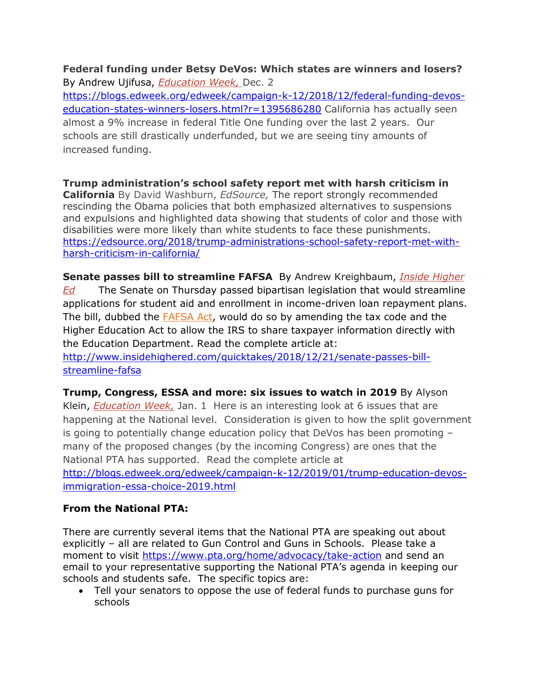#### **Federal funding under Betsy DeVos: Which states are winners and losers?** By Andrew Ujifusa, *[Education Week,](http://r20.rs6.net/tn.jsp?f=001hmOvbipFzsSOm8HPuIOtXtnhUyK3uILnmHuLbbIaHPRz9vhQcD3NXMqvZxDalhch7rTGecIYzCcQFbzZj3p0wD4kNVVvmoWEeaqWvoUcQe1tLkClqL50uj3_u2nQw6PfLS0643xBG0NTp5m8JG2vOAfvcrM2crwyoSBCYs_VfZNMdTW5zgn2Gw9rA8Lu1xJ6MRnK_q-pPnZTieR8Ahw2mHH8X55IqLreo3rkHD65-d-JgQsGd_wHiT65aVWLojrn0HemiCknUmnQlWqfjcF2RV-l5ODU2hXerGwiVAALH4I=&c=GfZKFkwTpiBg8Nv5icp8re1d8_kuQp55nPArFpKACOPCm2HuCkp5lA==&ch=YwWIlXwxY0qledmIFQHq3S1glGQQRx6KEryBHaKtYXrPWUUSq_ZFmA==)* Dec. 2

[https://blogs.edweek.org/edweek/campaign-k-12/2018/12/federal-funding-devos](https://blogs.edweek.org/edweek/campaign-k-12/2018/12/federal-funding-devos-education-states-winners-losers.html?r=1395686280)[education-states-winners-losers.html?r=1395686280](https://blogs.edweek.org/edweek/campaign-k-12/2018/12/federal-funding-devos-education-states-winners-losers.html?r=1395686280) California has actually seen almost a 9% increase in federal Title One funding over the last 2 years. Our schools are still drastically underfunded, but we are seeing tiny amounts of increased funding.

**Trump administration's school safety report met with harsh criticism in California** By David Washburn, *EdSource,* The report strongly recommended rescinding the Obama policies that both emphasized alternatives to suspensions and expulsions and highlighted data showing that students of color and those with disabilities were more likely than white students to face these punishments. [https://edsource.org/2018/trump-administrations-school-safety-report-met-with](https://edsource.org/2018/trump-administrations-school-safety-report-met-with-harsh-criticism-in-california/)[harsh-criticism-in-california/](https://edsource.org/2018/trump-administrations-school-safety-report-met-with-harsh-criticism-in-california/)

**Senate passes bill to streamline FAFSA** By Andrew Kreighbaum, *[Inside Higher](http://r20.rs6.net/tn.jsp?f=001jOuA9X6s0-ZYxHhe2Tx6f3EPU3uyYCBkhKW3rmVWIO4BIKJb5t2WzIYMA2iPJyIl0kCDKfVfLHkOPOLCqORF51teBVhNuO4Na9mDgAhNtSTfBcCsPF4rMMGBbe-qzCL5vOKQEbyNuZu3ocr96P2rKbARGIJpPcgsRgvWjCGC3M1UuttKq_bJmU3MYaq8f5WCOZ3kzu8l-IGxZSRR-tmJbASk4UNFLYylObhNDRXoirjJ1wZlLo2MMg==&c=rYxGqZVJfzrzYdcU3zjBlOmXYwCQaHW-1-0mTq63U8rLUf-Pj-_NVA==&ch=PDonNHE-QI3h5BQdsWAmxAqy7pG3AbylPYWi1EtjNtCWnirMBcl14A==)  [Ed](http://r20.rs6.net/tn.jsp?f=001jOuA9X6s0-ZYxHhe2Tx6f3EPU3uyYCBkhKW3rmVWIO4BIKJb5t2WzIYMA2iPJyIl0kCDKfVfLHkOPOLCqORF51teBVhNuO4Na9mDgAhNtSTfBcCsPF4rMMGBbe-qzCL5vOKQEbyNuZu3ocr96P2rKbARGIJpPcgsRgvWjCGC3M1UuttKq_bJmU3MYaq8f5WCOZ3kzu8l-IGxZSRR-tmJbASk4UNFLYylObhNDRXoirjJ1wZlLo2MMg==&c=rYxGqZVJfzrzYdcU3zjBlOmXYwCQaHW-1-0mTq63U8rLUf-Pj-_NVA==&ch=PDonNHE-QI3h5BQdsWAmxAqy7pG3AbylPYWi1EtjNtCWnirMBcl14A==)* The Senate on Thursday passed bipartisan legislation that would streamline applications for student aid and enrollment in income-driven loan repayment plans. The bill, dubbed the **FAFSA Act**, would do so by amending the tax code and the Higher Education Act to allow the IRS to share taxpayer information directly with the Education Department. Read the complete article at:

[http://www.insidehighered.com/quicktakes/2018/12/21/senate-passes-bill](http://www.insidehighered.com/quicktakes/2018/12/21/senate-passes-bill-streamline-fafsa)[streamline-fafsa](http://www.insidehighered.com/quicktakes/2018/12/21/senate-passes-bill-streamline-fafsa)

**Trump, Congress, ESSA and more: six issues to watch in 2019** By Alyson Klein, *[Education Week,](http://r20.rs6.net/tn.jsp?f=001-I38x2x6Th5EN2sk0coxnETbzDAphHcqwHrw4HKqVVEwFTyXfuO4DHYlrxEspRAhbNfoT6CzBnMiWMVec_lfrQmAqYAvZveV1dvL_iuKuF3Ed90A76pshrg4H77hFrX7DQzshg-kZr5fqRYr1j0k-xbAPgaf56uDCepB-Y32sVT797UxVqpndsBp_v49o1ZeewT6dNtIgqIn624XDJigQXOqZhBO2M2JqpiR8jQgdsl-vIXtVq1D1Bf5w6GTOCwN2SQ6B5MrWgm3Vf5-Is-IMnXoKshcUX4_4TzISAzss-w=&c=9pyCwvJ9WDKykQjJV2VrN3FLVV0iy3EQcO1HqfdgzZvXXJRxDp_s4A==&ch=sDtG8R95d2hpmoykoMKT-n7cj-9zZa8Tlfblsr1Ujo-KQqlRVTA6Ww==)* Jan. 1 Here is an interesting look at 6 issues that are happening at the National level. Consideration is given to how the split government is going to potentially change education policy that DeVos has been promoting – many of the proposed changes (by the incoming Congress) are ones that the National PTA has supported. Read the complete article at

[http://blogs.edweek.org/edweek/campaign-k-12/2019/01/trump-education-devos](http://blogs.edweek.org/edweek/campaign-k-12/2019/01/trump-education-devos-immigration-essa-choice-2019.html)[immigration-essa-choice-2019.html](http://blogs.edweek.org/edweek/campaign-k-12/2019/01/trump-education-devos-immigration-essa-choice-2019.html)

# **From the National PTA:**

There are currently several items that the National PTA are speaking out about explicitly – all are related to Gun Control and Guns in Schools. Please take a moment to visit<https://www.pta.org/home/advocacy/take-action> and send an email to your representative supporting the National PTA's agenda in keeping our schools and students safe. The specific topics are:

• Tell your senators to oppose the use of federal funds to purchase guns for schools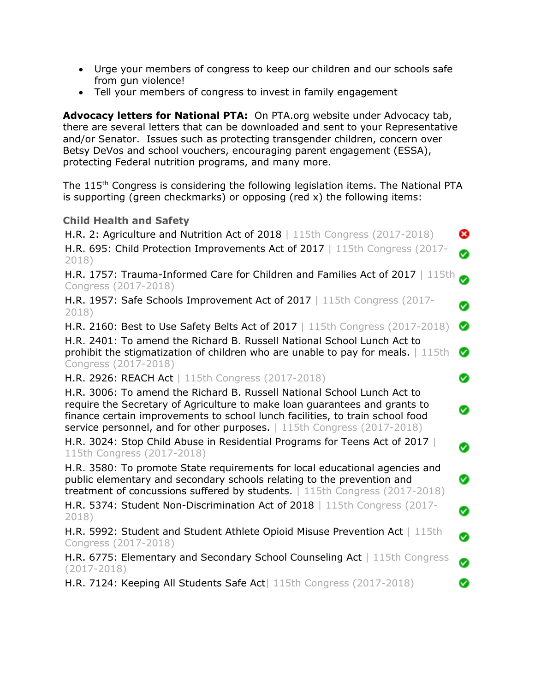- Urge your members of congress to keep our children and our schools safe from gun violence!
- Tell your members of congress to invest in family engagement

**Advocacy letters for National PTA:** On PTA.org website under Advocacy tab, there are several letters that can be downloaded and sent to your Representative and/or Senator. Issues such as protecting transgender children, concern over Betsy DeVos and school vouchers, encouraging parent engagement (ESSA), protecting Federal nutrition programs, and many more.

The 115<sup>th</sup> Congress is considering the following legislation items. The National PTA is supporting (green checkmarks) or opposing (red x) the following items:

#### **Child Health and Safety**

| H.R. 2: Agriculture and Nutrition Act of 2018   115th Congress (2017-2018)<br>H.R. 695: Child Protection Improvements Act of 2017   115th Congress (2017-                                                                                                                                                         | ⊗<br>Ø |
|-------------------------------------------------------------------------------------------------------------------------------------------------------------------------------------------------------------------------------------------------------------------------------------------------------------------|--------|
| 2018)<br>H.R. 1757: Trauma-Informed Care for Children and Families Act of 2017   115th                                                                                                                                                                                                                            | ◙      |
| Congress (2017-2018)<br>H.R. 1957: Safe Schools Improvement Act of 2017   115th Congress (2017-<br>2018)                                                                                                                                                                                                          | Ø      |
| <b>H.R. 2160: Best to Use Safety Belts Act of 2017</b>   115th Congress (2017-2018)<br>H.R. 2401: To amend the Richard B. Russell National School Lunch Act to<br>prohibit the stigmatization of children who are unable to pay for meals. $\mid$ 115th                                                           | Ø<br>Ø |
| Congress (2017-2018)<br>H.R. 2926: REACH Act   115th Congress (2017-2018)                                                                                                                                                                                                                                         | Ø      |
| H.R. 3006: To amend the Richard B. Russell National School Lunch Act to<br>require the Secretary of Agriculture to make loan guarantees and grants to<br>finance certain improvements to school lunch facilities, to train school food<br>service personnel, and for other purposes.   115th Congress (2017-2018) | Ø      |
| H.R. 3024: Stop Child Abuse in Residential Programs for Teens Act of 2017<br>115th Congress (2017-2018)                                                                                                                                                                                                           | Ø      |
| H.R. 3580: To promote State requirements for local educational agencies and<br>public elementary and secondary schools relating to the prevention and<br>treatment of concussions suffered by students.   115th Congress (2017-2018)                                                                              | Ø      |
| H.R. 5374: Student Non-Discrimination Act of 2018   115th Congress (2017-<br>2018)                                                                                                                                                                                                                                | Ø      |
| H.R. 5992: Student and Student Athlete Opioid Misuse Prevention Act   115th<br>Congress (2017-2018)                                                                                                                                                                                                               | Ø      |
| H.R. 6775: Elementary and Secondary School Counseling Act   115th Congress<br>$(2017 - 2018)$                                                                                                                                                                                                                     | Ø      |
| H.R. 7124: Keeping All Students Safe Act   115th Congress (2017-2018)                                                                                                                                                                                                                                             | Ø      |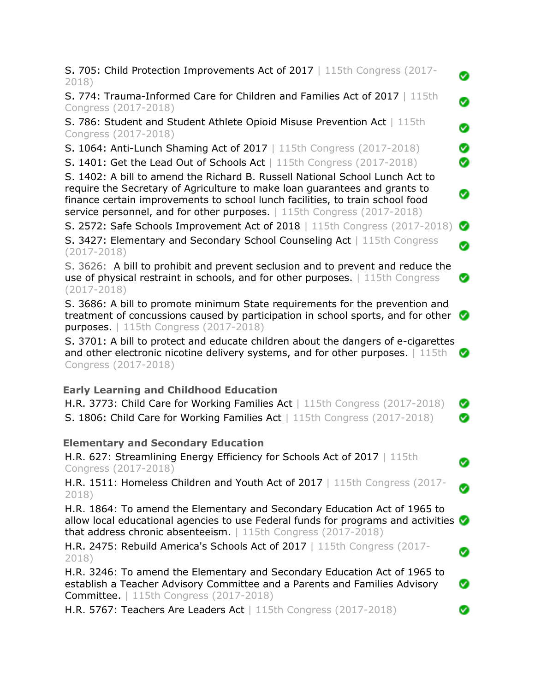| <b>S. 705: Child Protection Improvements Act of 2017</b>   115th Congress (2017-<br>2018)                                                                                                                                                                                                                              | Ø |
|------------------------------------------------------------------------------------------------------------------------------------------------------------------------------------------------------------------------------------------------------------------------------------------------------------------------|---|
| S. 774: Trauma-Informed Care for Children and Families Act of 2017   115th<br>Congress (2017-2018)                                                                                                                                                                                                                     | Ø |
| S. 786: Student and Student Athlete Opioid Misuse Prevention Act   115th<br>Congress (2017-2018)                                                                                                                                                                                                                       | Ø |
| S. 1064: Anti-Lunch Shaming Act of 2017   115th Congress (2017-2018)                                                                                                                                                                                                                                                   | Ø |
| S. 1401: Get the Lead Out of Schools Act   115th Congress (2017-2018)                                                                                                                                                                                                                                                  | Ø |
| S. 1402: A bill to amend the Richard B. Russell National School Lunch Act to<br>require the Secretary of Agriculture to make loan guarantees and grants to<br>finance certain improvements to school lunch facilities, to train school food<br>service personnel, and for other purposes.   115th Congress (2017-2018) | Ø |
| S. 2572: Safe Schools Improvement Act of 2018   115th Congress (2017-2018)                                                                                                                                                                                                                                             | Ø |
| S. 3427: Elementary and Secondary School Counseling Act   115th Congress<br>$(2017 - 2018)$                                                                                                                                                                                                                            | Ø |
| S. 3626: A bill to prohibit and prevent seclusion and to prevent and reduce the<br>use of physical restraint in schools, and for other purposes.   115th Congress<br>$(2017 - 2018)$                                                                                                                                   | Ø |
| S. 3686: A bill to promote minimum State requirements for the prevention and<br>treatment of concussions caused by participation in school sports, and for other $\bullet$<br><b>purposes.</b>   115th Congress (2017-2018)                                                                                            |   |
| S. 3701: A bill to protect and educate children about the dangers of e-cigarettes<br>and other electronic nicotine delivery systems, and for other purposes.   115th<br>Congress (2017-2018)                                                                                                                           | Ø |
| <b>Early Learning and Childhood Education</b>                                                                                                                                                                                                                                                                          |   |
| H.R. 3773: Child Care for Working Families Act   115th Congress (2017-2018)                                                                                                                                                                                                                                            | Ø |
| S. 1806: Child Care for Working Families Act   115th Congress (2017-2018)                                                                                                                                                                                                                                              | Ø |
| <b>Elementary and Secondary Education</b>                                                                                                                                                                                                                                                                              |   |
| H.R. 627: Streamlining Energy Efficiency for Schools Act of 2017   115th<br>Congress (2017-2018)                                                                                                                                                                                                                       | Ø |
| H.R. 1511: Homeless Children and Youth Act of 2017   115th Congress (2017-<br>2018)                                                                                                                                                                                                                                    | Ø |
| H.R. 1864: To amend the Elementary and Secondary Education Act of 1965 to<br>allow local educational agencies to use Federal funds for programs and activities<br>that address chronic absenteeism.   115th Congress (2017-2018)                                                                                       |   |
| H.R. 2475: Rebuild America's Schools Act of 2017   115th Congress (2017-<br>2018)                                                                                                                                                                                                                                      | Ø |
| H.R. 3246: To amend the Elementary and Secondary Education Act of 1965 to<br>establish a Teacher Advisory Committee and a Parents and Families Advisory<br><b>Committee.</b>   115th Congress (2017-2018)                                                                                                              | Ø |
| H.R. 5767: Teachers Are Leaders Act   115th Congress (2017-2018)                                                                                                                                                                                                                                                       |   |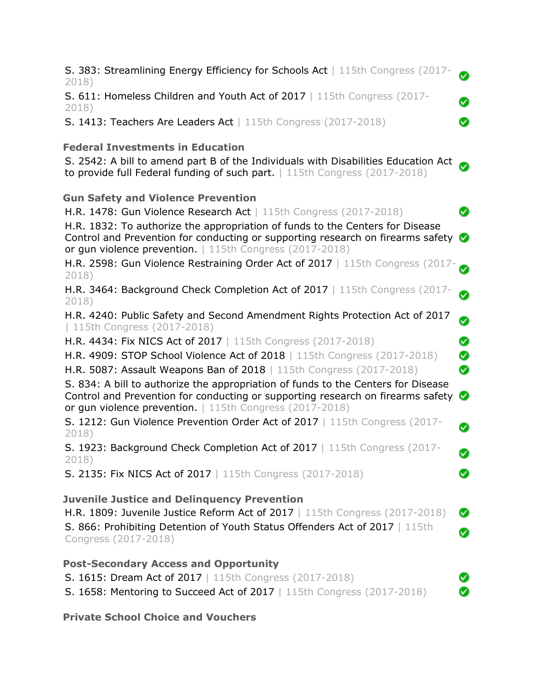| S. 383: Streamlining Energy Efficiency for Schools Act   115th Congress (2017-<br>2018)                                                                                                                                                                                                                                                        | Ø              |
|------------------------------------------------------------------------------------------------------------------------------------------------------------------------------------------------------------------------------------------------------------------------------------------------------------------------------------------------|----------------|
| S. 611: Homeless Children and Youth Act of 2017   115th Congress (2017-<br>2018)                                                                                                                                                                                                                                                               | Ø              |
| S. 1413: Teachers Are Leaders Act   115th Congress (2017-2018)                                                                                                                                                                                                                                                                                 | Ø              |
| <b>Federal Investments in Education</b><br>S. 2542: A bill to amend part B of the Individuals with Disabilities Education Act<br>to provide full Federal funding of such part.   115th Congress (2017-2018)                                                                                                                                    |                |
| <b>Gun Safety and Violence Prevention</b><br>H.R. 1478: Gun Violence Research Act   115th Congress (2017-2018)<br>H.R. 1832: To authorize the appropriation of funds to the Centers for Disease<br>Control and Prevention for conducting or supporting research on firearms safety<br>or gun violence prevention.   115th Congress (2017-2018) | Ø<br>$\bullet$ |
| H.R. 2598: Gun Violence Restraining Order Act of 2017   115th Congress (2017-<br>2018)                                                                                                                                                                                                                                                         |                |
| H.R. 3464: Background Check Completion Act of 2017   115th Congress (2017-<br>2018)                                                                                                                                                                                                                                                            | ⊗              |
| H.R. 4240: Public Safety and Second Amendment Rights Protection Act of 2017<br>  115th Congress (2017-2018)                                                                                                                                                                                                                                    | Ø              |
| H.R. 4434: Fix NICS Act of 2017   115th Congress (2017-2018)                                                                                                                                                                                                                                                                                   | Ø              |
| H.R. 4909: STOP School Violence Act of 2018   115th Congress (2017-2018)                                                                                                                                                                                                                                                                       | Ø              |
| H.R. 5087: Assault Weapons Ban of 2018   115th Congress (2017-2018)                                                                                                                                                                                                                                                                            | Ø              |
| S. 834: A bill to authorize the appropriation of funds to the Centers for Disease<br>Control and Prevention for conducting or supporting research on firearms safety<br>or gun violence prevention.   115th Congress (2017-2018)                                                                                                               | Ø              |
| S. 1212: Gun Violence Prevention Order Act of 2017   115th Congress (2017-<br>2018)                                                                                                                                                                                                                                                            | Ø              |
| S. 1923: Background Check Completion Act of 2017   115th Congress (2017-<br>2018)                                                                                                                                                                                                                                                              | Ø              |
| S. 2135: Fix NICS Act of 2017   115th Congress (2017-2018)                                                                                                                                                                                                                                                                                     | Ø              |
| <b>Juvenile Justice and Delinquency Prevention</b><br>H.R. 1809: Juvenile Justice Reform Act of 2017   115th Congress (2017-2018)<br>S. 866: Prohibiting Detention of Youth Status Offenders Act of 2017   115th<br>Congress (2017-2018)                                                                                                       | Ø<br>Ø         |
| <b>Post-Secondary Access and Opportunity</b><br>S. 1615: Dream Act of 2017   115th Congress (2017-2018)<br>S. 1658: Mentoring to Succeed Act of 2017   115th Congress (2017-2018)                                                                                                                                                              | Ø              |
| <b>Private School Choice and Vouchers</b>                                                                                                                                                                                                                                                                                                      |                |